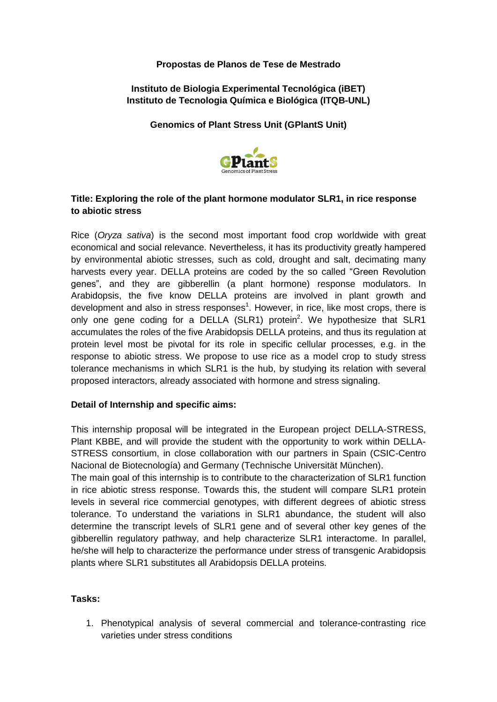## **Propostas de Planos de Tese de Mestrado**

## **Instituto de Biologia Experimental Tecnológica (iBET) Instituto de Tecnologia Química e Biológica (ITQB-UNL)**

#### **Genomics of Plant Stress Unit (GPlantS Unit)**



# **Title: Exploring the role of the plant hormone modulator SLR1, in rice response to abiotic stress**

Rice (*Oryza sativa*) is the second most important food crop worldwide with great economical and social relevance. Nevertheless, it has its productivity greatly hampered by environmental abiotic stresses, such as cold, drought and salt, decimating many harvests every year. DELLA proteins are coded by the so called "Green Revolution genes", and they are gibberellin (a plant hormone) response modulators. In Arabidopsis, the five know DELLA proteins are involved in plant growth and development and also in stress responses<sup>1</sup>. However, in rice, like most crops, there is only one gene coding for a DELLA (SLR1) protein<sup>2</sup>. We hypothesize that SLR1 accumulates the roles of the five Arabidopsis DELLA proteins, and thus its regulation at protein level most be pivotal for its role in specific cellular processes, e.g. in the response to abiotic stress. We propose to use rice as a model crop to study stress tolerance mechanisms in which SLR1 is the hub, by studying its relation with several proposed interactors, already associated with hormone and stress signaling.

### **Detail of Internship and specific aims:**

This internship proposal will be integrated in the European project DELLA-STRESS, Plant KBBE, and will provide the student with the opportunity to work within DELLA-STRESS consortium, in close collaboration with our partners in Spain (CSIC-Centro Nacional de Biotecnología) and Germany (Technische Universität München).

The main goal of this internship is to contribute to the characterization of SLR1 function in rice abiotic stress response. Towards this, the student will compare SLR1 protein levels in several rice commercial genotypes, with different degrees of abiotic stress tolerance. To understand the variations in SLR1 abundance, the student will also determine the transcript levels of SLR1 gene and of several other key genes of the gibberellin regulatory pathway, and help characterize SLR1 interactome. In parallel, he/she will help to characterize the performance under stress of transgenic Arabidopsis plants where SLR1 substitutes all Arabidopsis DELLA proteins.

### **Tasks:**

1. Phenotypical analysis of several commercial and tolerance-contrasting rice varieties under stress conditions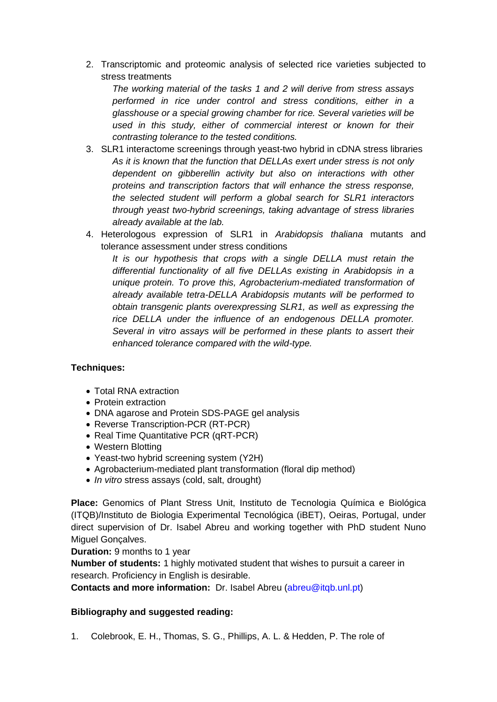2. Transcriptomic and proteomic analysis of selected rice varieties subjected to stress treatments

*The working material of the tasks 1 and 2 will derive from stress assays performed in rice under control and stress conditions, either in a glasshouse or a special growing chamber for rice. Several varieties will be used in this study, either of commercial interest or known for their contrasting tolerance to the tested conditions.*

- 3. SLR1 interactome screenings through yeast-two hybrid in cDNA stress libraries *As it is known that the function that DELLAs exert under stress is not only dependent on gibberellin activity but also on interactions with other proteins and transcription factors that will enhance the stress response, the selected student will perform a global search for SLR1 interactors through yeast two-hybrid screenings, taking advantage of stress libraries already available at the lab.*
- 4. Heterologous expression of SLR1 in *Arabidopsis thaliana* mutants and tolerance assessment under stress conditions

*It is our hypothesis that crops with a single DELLA must retain the differential functionality of all five DELLAs existing in Arabidopsis in a unique protein. To prove this, Agrobacterium-mediated transformation of already available tetra-DELLA Arabidopsis mutants will be performed to obtain transgenic plants overexpressing SLR1, as well as expressing the rice DELLA under the influence of an endogenous DELLA promoter. Several in vitro assays will be performed in these plants to assert their enhanced tolerance compared with the wild-type.* 

### **Techniques:**

- Total RNA extraction
- Protein extraction
- DNA agarose and Protein SDS-PAGE gel analysis
- Reverse Transcription-PCR (RT-PCR)
- Real Time Quantitative PCR (qRT-PCR)
- Western Blotting
- Yeast-two hybrid screening system (Y2H)
- Agrobacterium-mediated plant transformation (floral dip method)
- *In vitro* stress assays (cold, salt, drought)

**Place:** Genomics of Plant Stress Unit, Instituto de Tecnologia Química e Biológica (ITQB)/Instituto de Biologia Experimental Tecnológica (iBET), Oeiras, Portugal, under direct supervision of Dr. Isabel Abreu and working together with PhD student Nuno Miguel Gonçalves.

**Duration:** 9 months to 1 year

**Number of students:** 1 highly motivated student that wishes to pursuit a career in research. Proficiency in English is desirable.

**Contacts and more information:** Dr. Isabel Abreu (abreu@itqb.unl.pt)

### **Bibliography and suggested reading:**

1. Colebrook, E. H., Thomas, S. G., Phillips, A. L. & Hedden, P. The role of